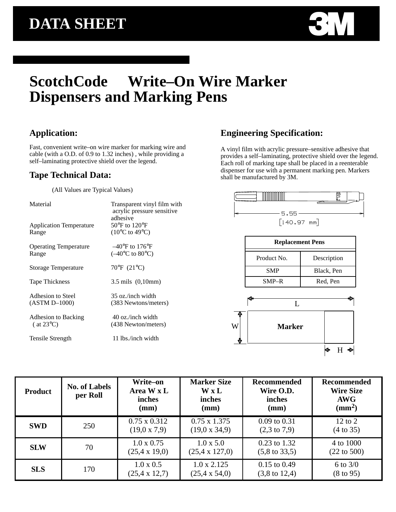

## ScotchCode<sup>™</sup> Write–On Wire Marker **Dispensers and Marking Pens**

#### **Application:**

Fast, convenient write–on wire marker for marking wire and cable (with a O.D. of 0.9 to 1.32 inches) , while providing a self–laminating protective shield over the legend.

#### **Tape Technical Data:**

(All Values are Typical Values)

| Material                       | Transparent vinyl film with<br>acrylic pressure sensitive<br>adhesive |  |  |
|--------------------------------|-----------------------------------------------------------------------|--|--|
| <b>Application Temperature</b> | $50^{\circ}$ F to $120^{\circ}$ F                                     |  |  |
| Range                          | $(10^{\circ}$ C to 49 $^{\circ}$ C)                                   |  |  |
| <b>Operating Temperature</b>   | $-40^{\circ}$ F to 176 $^{\circ}$ F                                   |  |  |
| Range                          | $(-40^{\circ}C \text{ to } 80^{\circ}C)$                              |  |  |
| Storage Temperature            | 70°F (21°C)                                                           |  |  |
| <b>Tape Thickness</b>          | $3.5 \text{ mils}$ $(0,10 \text{mm})$                                 |  |  |
| Adhesion to Steel              | 35 oz./inch width                                                     |  |  |
| $(ASTM D-1000)$                | (383 Newtons/meters)                                                  |  |  |
| Adhesion to Backing            | 40 oz./inch width                                                     |  |  |
| $($ at 23 $^{\circ}$ C)        | (438 Newton/meters)                                                   |  |  |
| Tensile Strength               | 11 lbs./inch width                                                    |  |  |

### **Engineering Specification:**

A vinyl film with acrylic pressure–sensitive adhesive that provides a self–laminating, protective shield over the legend. Each roll of marking tape shall be placed in a reenterable dispenser for use with a permanent marking pen. Markers shall be manufactured by 3M.



| <b>Replacement Pens</b> |             |  |  |  |
|-------------------------|-------------|--|--|--|
| Product No.             | Description |  |  |  |
| <b>SMP</b>              | Black, Pen  |  |  |  |
| $SMP-R$                 | Red, Pen    |  |  |  |



| <b>Product</b> | <b>No. of Labels</b><br>per Roll | Write-on<br>Area W x L<br>inches<br>(mm)   | <b>Marker Size</b><br><b>W</b> x L<br>inches<br>(mm) | <b>Recommended</b><br>Wire O.D.<br>inches<br>(mm) | <b>Recommended</b><br><b>Wire Size</b><br><b>AWG</b><br>$\text{ (mm}^2\text{)}$ |
|----------------|----------------------------------|--------------------------------------------|------------------------------------------------------|---------------------------------------------------|---------------------------------------------------------------------------------|
| <b>SWD</b>     | 250                              | $0.75 \times 0.312$<br>$(19.0 \times 7.9)$ | $0.75 \times 1.375$<br>$(19.0 \times 34.9)$          | $0.09$ to $0.31$<br>$(2,3 \text{ to } 7,9)$       | $12 \text{ to } 2$<br>$(4 \text{ to } 35)$                                      |
| <b>SLW</b>     | 70                               | $1.0 \times 0.75$<br>$(25.4 \times 19.0)$  | $1.0 \times 5.0$<br>$(25.4 \times 127.0)$            | $0.23$ to 1.32<br>$(5, 8 \text{ to } 33, 5)$      | 4 to 1000<br>$(22 \text{ to } 500)$                                             |
| <b>SLS</b>     | 170                              | $1.0 \times 0.5$<br>$(25.4 \times 12.7)$   | $1.0 \times 2.125$<br>$(25.4 \times 54.0)$           | $0.15$ to $0.49$<br>$(3,8 \text{ to } 12,4)$      | 6 to $3/0$<br>$(8 \text{ to } 95)$                                              |